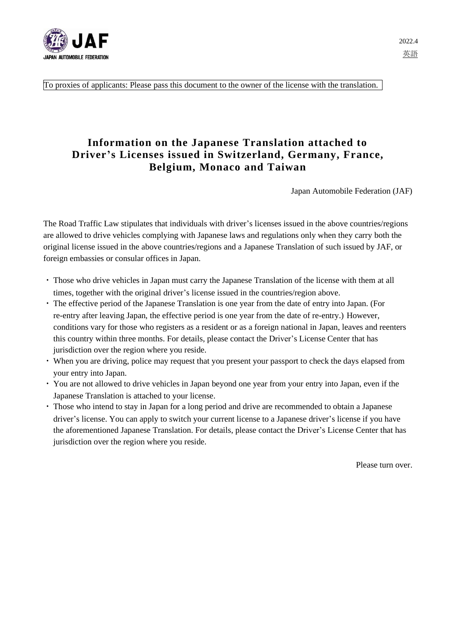

To proxies of applicants: Please pass this document to the owner of the license with the translation.

# **Information on the Japanese Translation attached to Driver's Licenses issued in Switzerland, Germany, France, Belgium, Monaco and Taiwan**

Japan Automobile Federation (JAF)

The Road Traffic Law stipulates that individuals with driver's licenses issued in the above countries/regions are allowed to drive vehicles complying with Japanese laws and regulations only when they carry both the original license issued in the above countries/regions and a Japanese Translation of such issued by JAF, or foreign embassies or consular offices in Japan.

- ・ Those who drive vehicles in Japan must carry the Japanese Translation of the license with them at all times, together with the original driver's license issued in the countries/region above.
- ・ The effective period of the Japanese Translation is one year from the date of entry into Japan. (For re-entry after leaving Japan, the effective period is one year from the date of re-entry.) However, conditions vary for those who registers as a resident or as a foreign national in Japan, leaves and reenters this country within three months. For details, please contact the Driver's License Center that has jurisdiction over the region where you reside.
- ・ When you are driving, police may request that you present your passport to check the days elapsed from your entry into Japan.
- ・ You are not allowed to drive vehicles in Japan beyond one year from your entry into Japan, even if the Japanese Translation is attached to your license.
- ・ Those who intend to stay in Japan for a long period and drive are recommended to obtain a Japanese driver's license. You can apply to switch your current license to a Japanese driver's license if you have the aforementioned Japanese Translation. For details, please contact the Driver's License Center that has jurisdiction over the region where you reside.

Please turn over.